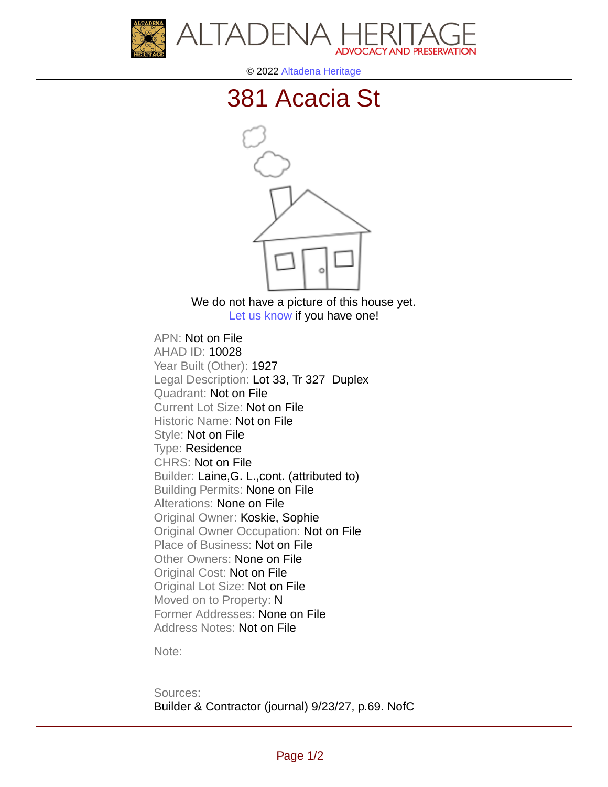



© 2022 [Altadena Heritage](http://altadenaheritage.org/)

## [381 Acacia St](ahad.altadenaheritagepdb.org/properties/10028)



We do not have a picture of this house yet. [Let us know](http://altadenaheritage.org/contact-us/) if you have one!

APN: Not on File [AHAD ID: 10028](ahad.altadenaheritagepdb.org/properties/10028) Year Built (Other): 1927 Legal Description: Lot 33, Tr 327 Duplex Quadrant: Not on File Current Lot Size: Not on File Historic Name: Not on File Style: Not on File Type: Residence CHRS: Not on File Builder: Laine,G. L.,cont. (attributed to) Building Permits: None on File Alterations: None on File Original Owner: Koskie, Sophie Original Owner Occupation: Not on File Place of Business: Not on File Other Owners: None on File Original Cost: Not on File Original Lot Size: Not on File Moved on to Property: N Former Addresses: None on File Address Notes: Not on File

Note:

Sources: Builder & Contractor (journal) 9/23/27, p.69. NofC